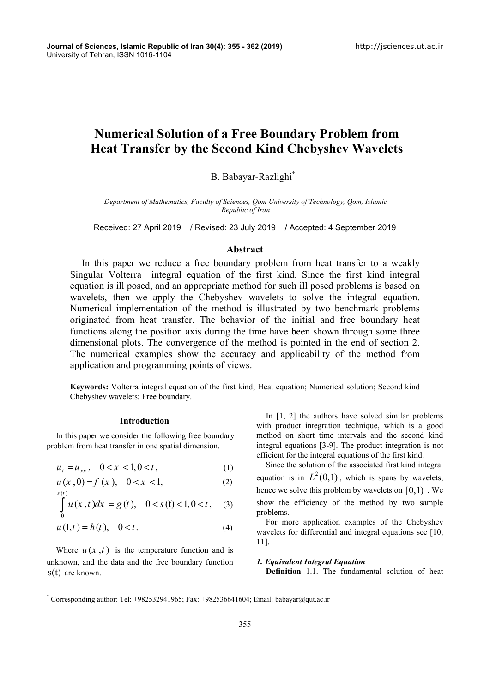# **Numerical Solution of a Free Boundary Problem from Heat Transfer by the Second Kind Chebyshev Wavelets**

B. Babayar-Razlighi\*

*Department of Mathematics, Faculty of Sciences, Qom University of Technology, Qom, Islamic Republic of Iran* 

Received: 27 April 2019 / Revised: 23 July 2019 / Accepted: 4 September 2019

# **Abstract**

In this paper we reduce a free boundary problem from heat transfer to a weakly Singular Volterra integral equation of the first kind. Since the first kind integral equation is ill posed, and an appropriate method for such ill posed problems is based on wavelets, then we apply the Chebyshev wavelets to solve the integral equation. Numerical implementation of the method is illustrated by two benchmark problems originated from heat transfer. The behavior of the initial and free boundary heat functions along the position axis during the time have been shown through some three dimensional plots. The convergence of the method is pointed in the end of section 2. The numerical examples show the accuracy and applicability of the method from application and programming points of views.

**Keywords:** Volterra integral equation of the first kind; Heat equation; Numerical solution; Second kind Chebyshev wavelets; Free boundary.

### **Introduction**

In this paper we consider the following free boundary problem from heat transfer in one spatial dimension.

$$
u_t = u_{xx}, \quad 0 < x < 1, 0 < t \tag{1}
$$

$$
u(x,0) = f(x), \quad 0 < x < 1,\tag{2}
$$

$$
\int_{0}^{s(t)} u(x,t)dx = g(t), \quad 0 < s(t) < 1, 0 < t, \quad (3)
$$

$$
u(1,t) = h(t), \quad 0 < t.
$$
 (4)

Where  $u(x,t)$  is the temperature function and is unknown, and the data and the free boundary function s(t) are known.

In [1, 2] the authors have solved similar problems with product integration technique, which is a good method on short time intervals and the second kind integral equations [3-9]. The product integration is not efficient for the integral equations of the first kind.

Since the solution of the associated first kind integral equation is in  $L^2(0,1)$ , which is spans by wavelets, hence we solve this problem by wavelets on  $[0,1)$ . We show the efficiency of the method by two sample problems.

For more application examples of the Chebyshev wavelets for differential and integral equations see [10, 11].

*1. Equivalent Integral Equation*  **Definition** 1.1. The fundamental solution of heat

<sup>\*</sup> Corresponding author: Tel: +982532941965; Fax: +982536641604; Email: babayar@qut.ac.ir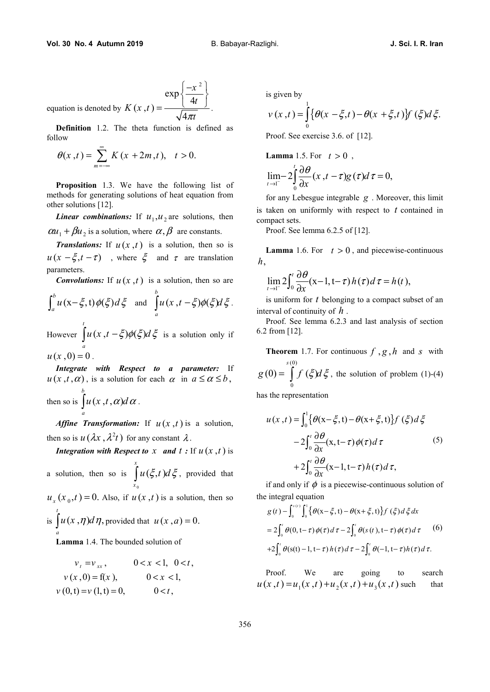equation is denoted by 
$$
K(x, t) = \frac{\exp\left\{\frac{-x^2}{4t}\right\}}{\sqrt{4\pi t}}
$$
.

**Definition** 1.2. The theta function is defined as follow

$$
\theta(x,t) = \sum_{m=-\infty}^{\infty} K(x+2m,t), \quad t > 0.
$$

**Proposition** 1.3. We have the following list of methods for generating solutions of heat equation from other solutions [12].

*Linear combinations:* If  $u_1, u_2$  are solutions, then  $\alpha u_1 + \beta u_2$  is a solution, where  $\alpha, \beta$  are constants.

*Translations:* If  $u(x, t)$  is a solution, then so is  $u(x - \xi, t - \tau)$ , where  $\xi$  and  $\tau$  are translation parameters.

**Convolutions:** If  $u(x, t)$  is a solution, then so are

$$
\int_a^b u\left(x-\xi,t\right)\phi(\xi)d\xi \text{ and } \int_a^b u\left(x,t-\xi\right)\phi(\xi)d\xi.
$$

However  $\left| u(x, t-\xi)\phi(\xi) \right|$ *t*  $\int_a^b u(x,t-\xi)\phi(\xi)d\xi$  is a solution only if  $u(x,0) = 0$ .

*Integrate with Respect to a parameter:* If  $u(x,t, \alpha)$ , is a solution for each  $\alpha$  in  $a \leq \alpha \leq b$ , then so is  $\left\vert u(x, t, \alpha)\right\rangle$ *b*  $\int u(x,t,\alpha)d\alpha$ .

*a*

*Affine Transformation:* If  $u(x,t)$  is a solution, then so is  $u(\lambda x, \lambda^2 t)$  for any constant  $\lambda$ .

*Integration with Respect to x and t :* If  $u(x, t)$  is a solution, then so is 0  $(\xi,t)$ *x*  $\int u(\xi,t) d\xi$ , provided that

 $u_x(x_0,t) = 0$ . Also, if  $u(x,t)$  is a solution, then so *t*

is 
$$
\int_a u(x, \eta) d\eta
$$
, provided that  $u(x, a) = 0$ .

**Lamma** 1.4. The bounded solution of

$$
v_{t} = v_{xx}, \t 0 < x < 1, 0 < t,
$$
  
\n
$$
v(x, 0) = f(x), \t 0 < x < 1,
$$
  
\n
$$
v(0, t) = v(1, t) = 0, \t 0 < t,
$$

is given by

$$
v(x,t) = \int_{0}^{1} {\{\theta(x - \xi, t) - \theta(x + \xi, t)\}} f(\xi) d\xi.
$$

Proof. See exercise 3.6. of [12].

**Lamma** 1.5. For 
$$
t > 0
$$
,  
\n
$$
\lim_{t \to 1^{-}} -2 \int_{0}^{t} \frac{\partial \theta}{\partial x}(x, t - \tau) g(\tau) d\tau = 0,
$$

for any Lebesgue integrable *g* . Moreover, this limit is taken on uniformly with respect to *t* contained in compact sets.

Proof. See lemma 6.2.5 of [12].

**Lamma** 1.6. For  $t > 0$ , and piecewise-continuous *h*,

$$
\lim_{t \to 1^{-}} 2 \int_0^t \frac{\partial \theta}{\partial x}(x-1, t-\tau) h(\tau) d\tau = h(t),
$$

is uniform for *t* belonging to a compact subset of an interval of continuity of *h* .

Proof. See lemma 6.2.3 and last analysis of section 6.2 from [12].

**Theorem** 1.7. For continuous  $f$ ,  $g$ ,  $h$  and  $s$  with (0) 0  $(0) = | f(\xi)$ *s*  $g(0) = \int f(\xi)d\xi$ , the solution of problem (1)-(4)

has the representation

$$
u(x,t) = \int_0^1 {\theta(x-\xi,t) - \theta(x+\xi,t)} f(\xi) d\xi
$$
  
-2
$$
\int_0^t {\frac{\partial \theta}{\partial x}(x,t-\tau) \phi(\tau) d\tau}
$$
  
+2
$$
\int_0^t {\frac{\partial \theta}{\partial x}(x-1,t-\tau) h(\tau) d\tau},
$$
  
(5)

if and only if  $\phi$  is a piecewise-continuous solution of the integral equation

$$
g(t) - \int_0^{s(t)} \int_0^1 {\theta(x - \xi, t) - \theta(x + \xi, t)} f(\xi) d\xi dx
$$
  
=  $2 \int_0^t \theta(0, t - \tau) \phi(\tau) d\tau - 2 \int_0^t \theta(s(t), t - \tau) \phi(\tau) d\tau$  (6)  
+ $2 \int_0^t \theta(s(t) - 1, t - \tau) h(\tau) d\tau - 2 \int_0^t \theta(-1, t - \tau) h(\tau) d\tau.$ 

Proof. We are going to search  $u(x,t) = u_1(x,t) + u_2(x,t) + u_3(x,t)$  such that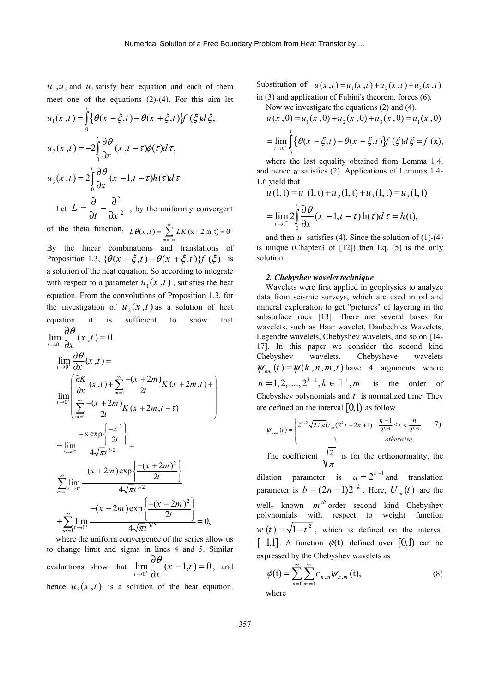$u_1, u_2$  and  $u_3$  satisfy heat equation and each of them meet one of the equations (2)-(4). For this aim let

$$
u_1(x,t) = \int_0^1 {\{\theta(x - \xi, t) - \theta(x + \xi, t)\}} f(\xi) d\xi,
$$
  
\n
$$
u_2(x,t) = -2 \int_0^t \frac{\partial \theta}{\partial x} (x, t - \tau) \phi(\tau) d\tau,
$$
  
\n
$$
u_3(x,t) = 2 \int_0^t \frac{\partial \theta}{\partial x} (x - 1, t - \tau) h(\tau) d\tau.
$$
  
\nLet  $I = \frac{\partial}{\partial x} - \frac{\partial^2}{\partial x}$ , by the uniformly converges.

Let  $L = \frac{\partial}{\partial t} - \frac{\partial^2}{\partial x^2}$ , by the uniformly convergent

of the theta function,  $L\theta(x,t) = \sum_{k=0}^{\infty} LK(x+2m, t) = 0$ *m*  $L\theta(x,t) = \sum_{k=1}^{\infty} LK$  $=\sum_{m=-\infty}^{\infty} LK(x+2m, t) = 0$ . By the linear combinations and translations of Proposition 1.3,  $\{\theta(x - \xi, t) - \theta(x + \xi, t)\}f(\xi)$  is a solution of the heat equation. So according to integrate with respect to a parameter  $u_1(x, t)$ , satisfies the heat equation. From the convolutions of Proposition 1.3, for the investigation of  $u_2(x,t)$  as a solution of heat equation it is sufficient to show that

$$
\lim_{t \to 0^{+}} \frac{\partial \theta}{\partial x}(x, t) = 0.
$$
\n
$$
\lim_{t \to 0^{+}} \frac{\partial \theta}{\partial x}(x, t) =
$$
\n
$$
\lim_{t \to 0^{+}} \left( \frac{\partial K}{\partial x}(x, t) + \sum_{m=1}^{\infty} \frac{-(x + 2m)}{2t} K(x + 2m, t) + \right)
$$
\n
$$
= \lim_{t \to 0^{+}} \frac{-x + 2m}{2t} K(x + 2m, t - \tau)
$$
\n
$$
= \lim_{t \to 0^{+}} \frac{-x + 2m}{4\sqrt{\pi}t^{3/2}} + \frac{-(x + 2m) \exp\left\{-\frac{(x + 2m)^{2}}{2t}\right\}}{\frac{-(x + 2m) \exp\left\{-\frac{(x + 2m)^{2}}{2t}\right\}}{\frac{-(x - 2m) \exp\left\{-\frac{(x - 2m)^{2}}{2t}\right\}}}{\frac{-(x - 2m) \exp\left\{-\frac{(x - 2m)^{2}}{2t}\right\}}{4\sqrt{\pi}t^{3/2}}} = 0,
$$

*t*

where the uniform convergence of the series allow us to change limit and sigma in lines 4 and 5. Similar evaluations show that  $\lim_{t \to 0^+} \frac{\partial b}{\partial x}(x - 1, t) = 0$ *x* θ  $\lim_{x \to 0^+} \frac{\partial \theta}{\partial x}(x-1,t) = 0$ , and

hence  $u_3(x,t)$  is a solution of the heat equation.

Substitution of  $u(x,t) = u_1(x,t) + u_2(x,t) + u_3(x,t)$ 

in  $(3)$  and application of Fubini's theorem, forces  $(6)$ . Now we investigate the equations (2) and (4).

$$
u(x, 0) = u_1(x, 0) + u_2(x, 0) + u_3(x, 0) = u_1(x, 0)
$$
  
= 
$$
\lim_{t \to 0^+} \int_0^1 {\{\theta(x - \xi, t) - \theta(x + \xi, t)\}} f(\xi) d\xi = f(x),
$$

where the last equality obtained from Lemma 1.4, and hence *u* satisfies (2). Applications of Lemmas 1.4- 1.6 yield that

$$
u(1, t) = u_1(1, t) + u_2(1, t) + u_3(1, t) = u_3(1, t)
$$
  
= 
$$
\lim_{t \to 1^{-}} 2 \int_{0}^{t} \frac{\partial \theta}{\partial x} (x - 1, t - \tau) h(\tau) d\tau = h(t),
$$

and then  $u$  satisfies (4). Since the solution of (1)-(4) is unique (Chapter3 of [12]) then Eq. (5) is the only solution.

#### *2. Chebyshev wavelet technique*

Wavelets were first applied in geophysics to analyze data from seismic surveys, which are used in oil and mineral exploration to get "pictures" of layering in the subsurface rock [13]. There are several bases for wavelets, such as Haar wavelet, Daubechies Wavelets, Legendre wavelets, Chebyshev wavelets, and so on [14- 17]. In this paper we consider the second kind Chebyshev wavelets. Chebysheve wavelets  $\psi_{nm}(t) = \psi(k, n, m, t)$  have 4 arguments where is the order of Chebyshev polynomials and *t* is normalized time. They are defined on the interval  $[0,1)$  as follow  $n = 1, 2, \ldots, 2^{k-1}, k \in \square^+, m$ 

$$
\psi_{n,m}(t) = \begin{cases} 2^{k/2} \sqrt{2/\pi} U_m(2^k t - 2n + 1) & \frac{n-1}{2^{k-1}} \leq t < \frac{n}{2^{k-1}} \\ 0, & otherwise. \end{cases}
$$
 7)

The coefficient  $\frac{2}{2}$  is for the orthonormality, the π

dilation parameter is  $a = 2^{k-1}$  and translation parameter is  $b = (2n - 1)2^{-k}$ . Here,  $U_m(t)$  are the well- known  $m<sup>th</sup>$  order second kind Chebyshev polynomials with respect to weight function  $w(t) = \sqrt{1 - t^2}$ , which is defined on the interval [-1,1]. A function  $\phi(t)$  defined over [0,1] can be expressed by the Chebyshev wavelets as

$$
\phi(t) = \sum_{n=1}^{\infty} \sum_{m=0}^{\infty} c_{n,m} \psi_{n,m}(t),
$$
\n(8)

where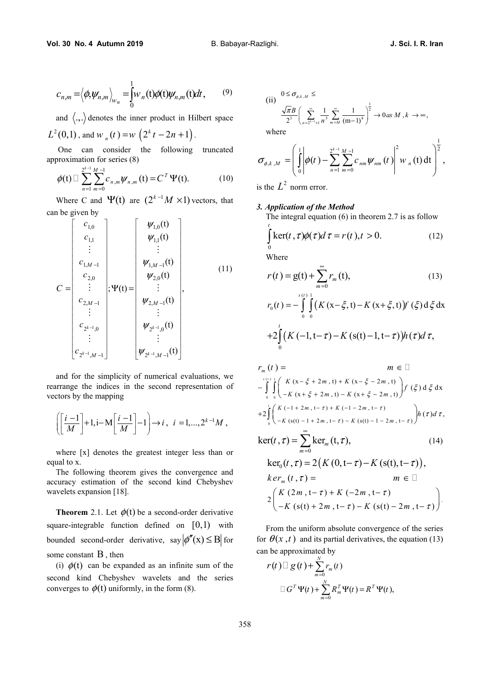$$
c_{n,m} = \langle \phi, \psi_{n,m} \rangle_{w_n} = \int_0^1 w_n(t) \phi(t) \psi_{n,m}(t) dt, \qquad (9)
$$

and  $\langle ., . \rangle$  denotes the inner product in Hilbert space  $L^2(0,1)$ , and  $W_n(t) = W\left(2^k t - 2n + 1\right)$ .

 One can consider the following truncated approximation for series  $(8)$ 

$$
\phi(t) \Box \sum_{n=1}^{2^{k-1}} \sum_{m=0}^{M-1} c_{n,m} \psi_{n,m}(t) = C^T \Psi(t).
$$
 (10)

Where C and  $\Psi(t)$  are  $(2^{k-1}M \times 1)$  vectors, that can be given by

$$
C = \begin{bmatrix} c_{1,0} \\ c_{1,1} \\ \vdots \\ c_{1,M-1} \\ c_{2,0} \\ \vdots \\ c_{2,M-1} \\ \vdots \\ c_{2^{k-1},0} \\ \vdots \\ c_{2^{k-1},M-1} \end{bmatrix}, \Psi(t) = \begin{bmatrix} \Psi_{1,0}(t) \\ \Psi_{1,1}(t) \\ \vdots \\ \Psi_{1,M-1}(t) \\ \vdots \\ \Psi_{2,M-1}(t) \\ \vdots \\ \Psi_{2^{k-1},0}(t) \\ \vdots \\ \Psi_{2^{k-1},M-1}(t) \end{bmatrix},
$$
(11)

and for the simplicity of numerical evaluations, we rearrange the indices in the second representation of vectors by the mapping

$$
\left(\left[\frac{i-1}{M}\right]+1, i-M\left[\frac{i-1}{M}\right]-1\right)\to i\,,\ i=1,\dots,2^{k-1}M\,,
$$

where [x] denotes the greatest integer less than or equal to x.

The following theorem gives the convergence and accuracy estimation of the second kind Chebyshev wavelets expansion [18].

**Theorem** 2.1. Let  $\phi(t)$  be a second-order derivative square-integrable function defined on  $[0,1)$  with bounded second-order derivative, say  $\left|\phi''(x) \leq B\right|$  for some constant B, then

(i)  $\phi(t)$  can be expanded as an infinite sum of the second kind Chebyshev wavelets and the series converges to  $\phi(t)$  uniformly, in the form (8).

(ii) 
$$
0 \le \sigma_{\phi,k,M} \le
$$
  
\n
$$
\frac{\sqrt{\pi}B}{2^3} \left( \sum_{n=2^{k-1}+1}^{\infty} \frac{1}{n^5} \sum_{m=M}^{\infty} \frac{1}{(m-1)^4} \right)^{\frac{1}{2}} \to 0 \text{ as } M, k \to \infty,
$$
  
\nwhere

$$
\sigma_{\phi,k,M} = \left(\int\limits_{0}^{1} \left|\phi(t) - \sum\limits_{n=1}^{2^{k-1}}\sum\limits_{m=0}^{M-1} c_{nm}\psi_{nm}(t)\right|^2 w_n(t) dt\right|^{\frac{1}{2}},
$$

is the  $L^2$  norm error.

## *3. Application of the Method*

The integral equation (6) in theorem 2.7 is as follow

$$
\int_{0}^{t} \ker(t, \tau) \phi(\tau) d\tau = r(t), t > 0.
$$
\n(12)

Where

$$
r(t) = g(t) + \sum_{m=0}^{\infty} r_m(t),
$$
 (13)

$$
r_0(t) = -\int_{0}^{s(t)} \int_{0}^{1} (K(x-\xi, t) - K(x+\xi, t)) f(\xi) d\xi dx
$$
  
+2
$$
\int_{0}^{t} (K(-1, t-\tau) - K(s(t)-1, t-\tau)) h(\tau) d\tau,
$$

$$
r_m(t) = m \in \square
$$
  
\n
$$
r_m(t) = \int_{0}^{s(t)} \int_{0}^{t} \left( \frac{K(x-\xi+2m,t) + K(x-\xi-2m,t)}{-K(x+\xi+2m,t) - K(x+\xi-2m,t)} \right) f(\xi) d\xi dx
$$
  
\n
$$
+ 2 \int_{0}^{t} \left( \frac{K(-1+2m,t-\tau) + K(-1-2m,t-\tau)}{-K(s(t)-1-2m,t-\tau)} \right) h(\tau) d\tau.
$$

$$
\ker(t,\tau) = \sum_{m=0}^{\infty} \ker_m(t,\tau),\tag{14}
$$
\n
$$
\ker_0(t,\tau) = 2(K(0,t-\tau)-K(s(t),t-\tau)),
$$
\n
$$
\ker_m(t,\tau) = m \in \mathbb{Z}
$$
\n
$$
2\begin{pmatrix} K(2m,t-\tau) + K(-2m,t-\tau) \\ -K(s(t)+2m,t-\tau) - K(s(t)-2m,t-\tau) \end{pmatrix}.
$$

From the uniform absolute convergence of the series for  $\theta(x,t)$  and its partial derivatives, the equation (13) can be approximated by

$$
r(t) \Box g(t) + \sum_{m=0}^{N} r_m(t)
$$
  

$$
\Box G^T \Psi(t) + \sum_{m=0}^{N} R_m^T \Psi(t) = R^T \Psi(t),
$$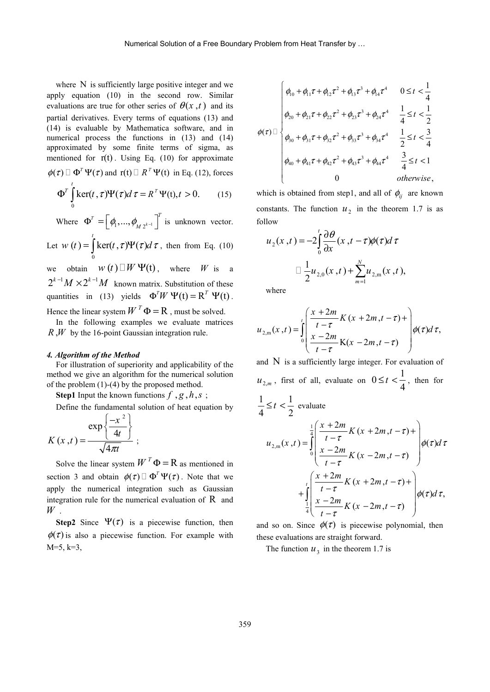where N is sufficiently large positive integer and we apply equation (10) in the second row. Similar evaluations are true for other series of  $\theta(x, t)$  and its partial derivatives. Every terms of equations (13) and (14) is evaluable by Mathematica software, and in numerical process the functions in (13) and (14) approximated by some finite terms of sigma, as mentioned for  $r(t)$ . Using Eq. (10) for approximate  $\phi(\tau) \square \Phi^T \Psi(\tau)$  and  $\mathbf{r}(t) \square R^T \Psi(t)$  in Eq. (12), forces

$$
\Phi^T \int_0^t \ker(t, \tau) \Psi(\tau) d\tau = R^T \Psi(t), t > 0.
$$
 (15)

Where  $\boldsymbol{\Phi}^T = \left[\phi_1^T, \ldots, \phi_M^T, \phi_{M-1}^T\right]^T$  $\Phi^T = \left[ \phi_1, ..., \phi_{M2^{k-1}} \right]^T$  is unknown vector. *t*

Let  $w(t) = |\ker(t, \tau) \Psi(\tau)|$  $\boldsymbol{0}$  $w(t) = \int \text{ker}(t, \tau) \Psi(\tau) d\tau$ , then from Eq. (10)

we obtain  $W(t) \square W \Psi(t)$ , where *W* is a  $2^{k-1}M \times 2^{k-1}M$  known matrix. Substitution of these quantities in (13) yields  $\Phi^T W \Psi(t) = R^T \Psi(t)$ . Hence the linear system  $W^T \Phi = R$ , must be solved.

In the following examples we evaluate matrices

*R* ,*W* by the 16-point Gaussian integration rule.

#### *4. Algorithm of the Method*

For illustration of superiority and applicability of the method we give an algorithm for the numerical solution of the problem (1)-(4) by the proposed method.

**Step1** Input the known functions  $f$ ,  $g$ ,  $h$ ,  $s$ ;

Define the fundamental solution of heat equation by

$$
K(x,t) = \frac{\exp\left\{\frac{-x^2}{4t}\right\}}{\sqrt{4\pi t}};
$$

Solve the linear system  $W^T \Phi = R$  as mentioned in section 3 and obtain  $\phi(\tau) \square \Phi^T \Psi(\tau)$ . Note that we apply the numerical integration such as Gaussian integration rule for the numerical evaluation of  $\bf{R}$  and *W* .

**Step2** Since  $\Psi(\tau)$  is a piecewise function, then  $\phi(\tau)$  is also a piecewise function. For example with  $M=5, k=3,$ 

$$
\phi(\tau) \Box \begin{cases}\n\phi_{10} + \phi_{11}\tau + \phi_{12}\tau^2 + \phi_{13}\tau^3 + \phi_{14}\tau^4 & 0 \le t < \frac{1}{4} \\
\phi_{20} + \phi_{21}\tau + \phi_{22}\tau^2 + \phi_{23}\tau^3 + \phi_{24}\tau^4 & \frac{1}{4} \le t < \frac{1}{2} \\
\phi_{30} + \phi_{31}\tau + \phi_{32}\tau^2 + \phi_{33}\tau^3 + \phi_{34}\tau^4 & \frac{1}{2} \le t < \frac{3}{4} \\
\phi_{40} + \phi_{41}\tau + \phi_{42}\tau^2 + \phi_{43}\tau^3 + \phi_{44}\tau^4 & \frac{3}{4} \le t < 1 \\
0 & \text{otherwise}\n\end{cases}
$$

which is obtained from step1, and all of  $\phi_{ii}$  are known constants. The function  $u<sub>2</sub>$  in the theorem 1.7 is as follow

$$
u_2(x,t) = -2\int_0^t \frac{\partial \theta}{\partial x}(x,t-\tau)\phi(\tau)d\tau
$$

$$
\Box \frac{1}{2}u_{2,0}(x,t) + \sum_{m=1}^N u_{2,m}(x,t),
$$

where

$$
u_{2,m}(x,t) = \int_{0}^{t} \left( \frac{x + 2m}{t - \tau} K(x + 2m, t - \tau) + \begin{cases} \frac{x - 2m}{t - \tau} K(x - 2m, t - \tau) \end{cases} \right) \phi(\tau) d\tau,
$$

and N is a sufficiently large integer. For evaluation of  $u_{2,m}$ , first of all, evaluate on  $0 \le t < \frac{1}{4}$ 4  $\leq t < \frac{1}{4}$ , then for  $1 \times 1$  $4$  2  $\leq t < \frac{1}{2}$  evaluate 1 4 2,m  $\mathbf 0$  $\frac{2m}{x} K (x + 2m, t - \tau)$  $f(x,t) = \int_{0}^{t} \frac{1-t}{x-2m} K(x-2m,t-\tau) \int_{0}^{\infty} d(\tau)$  $\left( \frac{x+2m}{x+2m} K (x+2m,t-\tau)+\right)$ *t*  $\frac{x + 2m}{x + 2m} K(x + 2m, t)$  $u_{2m}(x,t) = \int_0^4 \left| \int_0^t \frac{1-\tau}{2} \right|^{m} \frac{1}{2m} \, d\tau$  $\frac{x-2m}{x} K(x-2m,t)$ *t* τ  $\tau$   $\phi(\tau) d\tau$ τ τ  $=\int_{0}^{\frac{1}{4}} \left( \frac{\frac{x+2m}{t-\tau} K(x+2m,t-\tau)+}{\frac{x-2m}{t-\tau} K(x-2m,t-\tau)} \right)$  $\int$ 

$$
+\int_{\frac{1}{4}}^{t} \left| \frac{\frac{x+2m}{t-\tau}K(x+2m,t-\tau)+}{\frac{x-2m}{t-\tau}K(x-2m,t-\tau)} \right| \phi(\tau)d\tau,
$$

and so on. Since  $\phi(\tau)$  is piecewise polynomial, then these evaluations are straight forward.

The function  $u_3$  in the theorem 1.7 is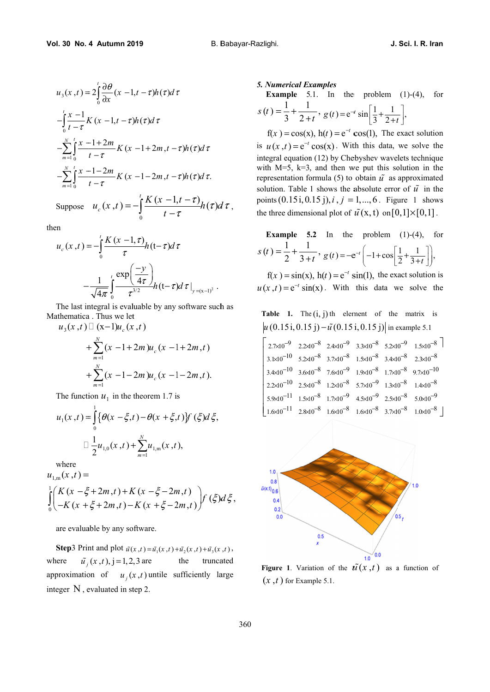$$
u_3(x,t) = 2\int_0^t \frac{\partial \theta}{\partial x}(x - t, t - \tau)h(\tau)d\tau
$$
  

$$
-\int_0^t \frac{x - t}{t - \tau}K(x - t, t - \tau)h(\tau)d\tau
$$
  

$$
-\sum_{m=1}^N \int_0^t \frac{x - t + 2m}{t - \tau}K(x - t + 2m, t - \tau)h(\tau)d\tau
$$
  

$$
-\sum_{m=1}^N \int_0^t \frac{x - t - 2m}{t - \tau}K(x - t - 2m, t - \tau)h(\tau)d\tau.
$$

Suppose 
$$
u_c(x,t) = -\int_0^t \frac{K(x-1,t-\tau)}{t-\tau} h(\tau) d\tau
$$
,

then

$$
u_c(x,t) = -\int_0^t \frac{K(x-1,\tau)}{\tau} h(t-\tau) d\tau
$$

$$
-\frac{1}{\sqrt{4\pi}} \int_0^t \frac{\exp\left(\frac{-y}{4\tau}\right)}{\tau^{3/2}} h(t-\tau) d\tau|_{y=(x-1)^2}.
$$

The last integral is evaluable by any software such as Mathematica . Thus we let

$$
u_3(x,t) \Box (x-1)u_c(x,t)
$$
  
+  $\sum_{m=1}^N (x-1+2m)u_c(x-1+2m,t)$   
+  $\sum_{m=1}^N (x-1-2m)u_c(x-1-2m,t)$ .

The function  $u_1$  in the theorem 1.7 is

$$
u_1(x,t) = \int_0^1 {\{\theta(x - \xi, t) - \theta(x + \xi, t)\}} f(\xi) d\xi,
$$
  

$$
\Box \frac{1}{2} u_{1,0}(x,t) + \sum_{m=1}^N u_{1,m}(x,t),
$$

where  $u_{1} (x,t) =$ 

$$
\int_{0}^{1} \left( \frac{K(x-\xi+2m,t)+K(x-\xi-2m,t)}{-K(x+\xi+2m,t)-K(x+\xi-2m,t)} \right) f(\xi) d\xi,
$$

are evaluable by any software.

**Step3** Print and plot  $\tilde{u}(x,t) = \tilde{u_1}(x,t) + \tilde{u_2}(x,t) + \tilde{u_3}(x,t)$ , where  $\tilde{u}_i(x,t)$ , j = 1, 2, 3 are the truncated approximation of  $u_i(x,t)$  untile sufficiently large integer  $N$ , evaluated in step 2.

#### 5. Numerical Examples

**Example** 5.1. In the problem (1)-(4), for 
$$
s(t) = \frac{1}{3} + \frac{1}{2+t}
$$
,  $g(t) = e^{-t} \sin\left[\frac{1}{3} + \frac{1}{2+t}\right]$ ,

 $f(x) = cos(x)$ ,  $h(t) = e^{-t} cos(1)$ , The exact solution is  $u(x, t) = e^{-t} \cos(x)$ . With this data, we solve the integral equation (12) by Chebyshev wavelets technique with  $M=5$ ,  $k=3$ , and then we put this solution in the representation formula (5) to obtain  $\tilde{u}$  as approximated solution. Table 1 shows the absolute error of  $\tilde{u}$  in the points  $(0.15i, 0.15j), i, j = 1, ..., 6$ . Figure 1 shows the three dimensional plot of  $\tilde{u}(x, t)$  on  $[0,1] \times [0,1]$ .

Example 5.2 In the problem (1)-(4), for  
\n
$$
s(t) = \frac{1}{2} + \frac{1}{3+t}
$$
,  $g(t) = -e^{-t} \left( -1 + \cos \left[ \frac{1}{2} + \frac{1}{3+t} \right] \right)$ ,

 $f(x) = \sin(x)$ ,  $h(t) = e^{-t} \sin(1)$ , the exact solution is  $u(x,t) = e^{-t} \sin(x)$ . With this data we solve the

Table 1. The  $(i, j)$  th element of the matrix is  $|u(0.15i, 0.15j) - \tilde{u}(0.15i, 0.15j)|$  in example 5.1

|                                                                                                                                                                  |  |  | $\begin{array}{ l} \n\end{array}$ 2.7 $\times$ 10 <sup>-9</sup> 2.2 $\times$ 10 <sup>-8</sup> 2.4 $\times$ 10 <sup>-9</sup> 3.3 $\times$ 10 <sup>-8</sup> 5.2 $\times$ 10 <sup>-9</sup> 1.5 $\times$ 10 <sup>-8</sup> |
|------------------------------------------------------------------------------------------------------------------------------------------------------------------|--|--|-----------------------------------------------------------------------------------------------------------------------------------------------------------------------------------------------------------------------|
| $3.1 \times 10^{-10}$ $5.2 \times 10^{-8}$ $3.7 \times 10^{-8}$ $1.5 \times 10^{-8}$ $3.4 \times 10^{-8}$ $2.3 \times 10^{-8}$                                   |  |  |                                                                                                                                                                                                                       |
| $3.4 \times 10^{-10}$ $3.6 \times 10^{-8}$ $7.6 \times 10^{-9}$ $1.9 \times 10^{-8}$ $1.7 \times 10^{-8}$ $9.7 \times 10^{-10}$                                  |  |  |                                                                                                                                                                                                                       |
| $\left[2.2 \times 10^{-10} \quad 2.5 \times 10^{-8} \quad 1.2 \times 10^{-8} \quad 5.7 \times 10^{-9} \quad 1.3 \times 10^{-8} \quad 1.4 \times 10^{-8} \right]$ |  |  |                                                                                                                                                                                                                       |
| $\begin{vmatrix} 5.9 \times 10^{-11} & 1.5 \times 10^{-8} & 1.7 \times 10^{-9} & 4.5 \times 10^{-9} & 2.5 \times 10^{-8} & 5.0 \times 10^{-9} \end{vmatrix}$     |  |  |                                                                                                                                                                                                                       |
|                                                                                                                                                                  |  |  | $\left[1.6\times10^{-11} \quad 2.8\times10^{-8} \quad 1.6\times10^{-8} \quad 1.6\times10^{-8} \quad 3.7\times10^{-8} \quad 1.0\times10^{-8} \right]$                                                                  |



Figure 1. Variation of the  $\tilde{u}(x,t)$  as a function of  $(x, t)$  for Example 5.1.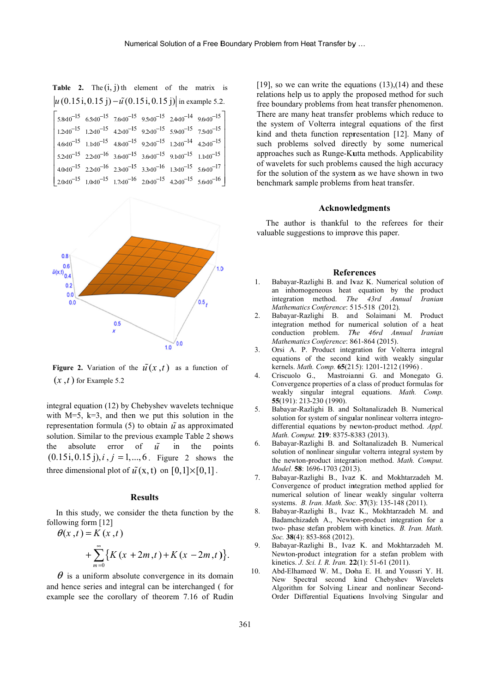|                                                               |  |  |  |  |                                                                                                                                      |  | <b>Table 2.</b> The $(i, j)$ the element of the matrix is                                                                                         |  |  |  |  |  |  |
|---------------------------------------------------------------|--|--|--|--|--------------------------------------------------------------------------------------------------------------------------------------|--|---------------------------------------------------------------------------------------------------------------------------------------------------|--|--|--|--|--|--|
| $ u(0.15i, 0.15j) - \tilde{u}(0.15i, 0.15j) $ in example 5.2. |  |  |  |  |                                                                                                                                      |  |                                                                                                                                                   |  |  |  |  |  |  |
|                                                               |  |  |  |  |                                                                                                                                      |  | $\left[5.8\!\times\!10^{-15}\right]$ 6.5 $\times10^{-15}$ 7.6 $\times10^{-15}$ 9.5 $\times10^{-15}$ 2.4 $\times10^{-14}$ 9.6 $\times10^{-15}$     |  |  |  |  |  |  |
|                                                               |  |  |  |  |                                                                                                                                      |  | $1.2\times10^{-15}$ $1.2\times10^{-15}$ $4.2\times10^{-15}$ $9.2\times10^{-15}$ $5.9\times10^{-15}$ $7.5\times10^{-15}$                           |  |  |  |  |  |  |
|                                                               |  |  |  |  | $1.46 \times 10^{-15}$ $1.1 \times 10^{-15}$ $4.8 \times 10^{-15}$ $9.2 \times 10^{-15}$ $1.2 \times 10^{-14}$ $4.2 \times 10^{-15}$ |  |                                                                                                                                                   |  |  |  |  |  |  |
|                                                               |  |  |  |  |                                                                                                                                      |  | $\frac{1}{2}$ 5.2 $\times 10^{-15}$ 2.2 $\times 10^{-16}$ 3.6 $\times 10^{-15}$ 3.6 $\times 10^{-15}$ 9.1 $\times 10^{-15}$ 1.1 $\times 10^{-15}$ |  |  |  |  |  |  |
|                                                               |  |  |  |  | $1.3 \times 10^{-15}$ $2.2 \times 10^{-16}$ $2.3 \times 10^{-15}$ $3.3 \times 10^{-16}$ $1.3 \times 10^{-15}$ $5.6 \times 10^{-17}$  |  |                                                                                                                                                   |  |  |  |  |  |  |
|                                                               |  |  |  |  |                                                                                                                                      |  | $120\times10^{-15}$ $1.0\times10^{-15}$ $1.7\times10^{-16}$ $2.0\times10^{-15}$ $4.2\times10^{-15}$ $5.6\times10^{-16}$                           |  |  |  |  |  |  |



Figure 2. Variation of the  $\tilde{u}(x,t)$  as a function of  $(x, t)$  for Example 5.2

integral equation (12) by Chebyshev wavelets technique with  $M=5$ ,  $k=3$ , and then we put this solution in the representation formula (5) to obtain  $\tilde{u}$  as approximated solution. Similar to the previous example Table 2 shows the absolute error of  $\tilde{u}$  $in$ the points  $(0.15i, 0.15j), i, j = 1, ..., 6$ . Figure 2 shows the three dimensional plot of  $\tilde{u}(x, t)$  on  $[0,1] \times [0,1]$ .

### **Results**

In this study, we consider the theta function by the following form  $[12]$ 

$$
\theta(x,t) = K(x,t) \n+ \sum_{m=0}^{\infty} \{ K(x+2m,t) + K(x-2m,t) \}.
$$

 $\theta$  is a uniform absolute convergence in its domain and hence series and integral can be interchanged (for example see the corollary of theorem 7.16 of Rudin

[19], so we can write the equations  $(13)$ , $(14)$  and these relations help us to apply the proposed method for such free boundary problems from heat transfer phenomenon. There are many heat transfer problems which reduce to the system of Volterra integral equations of the first kind and theta function representation [12]. Many of such problems solved directly by some numerical approaches such as Runge-Kutta methods. Applicability of wavelets for such problems caused the high accuracy for the solution of the system as we have shown in two benchmark sample problems from heat transfer.

### **Acknowledgments**

The author is thankful to the referees for their valuable suggestions to improve this paper.

#### **References**

- $1.$ Babayar-Razlighi B, and Iwaz K. Numerical solution of an inhomogeneous heat equation by the product The 43rd Annual integration method. *Iranian* Mathematics Conference: 515-518 (2012).
- $\mathfrak{D}$ Babayar-Razlighi B. and Solaimani M. Product integration method for numerical solution of a heat conduction problem. The 46rd Annual Iranian Mathematics Conference: 861-864 (2015).
- 3. Orsi A. P. Product integration for Volterra integral equations of the second kind with weakly singular kernels. Math. Comp. 65(215): 1201-1212 (1996).
- $\overline{4}$ Criscuolo G., Mastroianni G. and Monegato G. Convergence properties of a class of product formulas for weakly singular integral equations. Math. Comp. 55(191): 213-230 (1990).
- Babayar-Razlighi B. and Soltanalizadeh B. Numerical  $\leq$ solution for system of singular nonlinear volterra integrodifferential equations by newton-product method. Appl. Math. Comput. 219: 8375-8383 (2013).
- Babayar-Razlighi B. and Soltanalizadeh B. Numerical 6. solution of nonlinear singular volterra integral system by the newton-product integration method. Math. Comput. Model. 58: 1696-1703 (2013).
- Babayar-Razlighi B., Ivaz K. and Mokhtarzadeh M.  $\mathcal{I}$ Convergence of product integration method applied for numerical solution of linear weakly singular volterra systems. *B. Iran. Math. Soc.* 37(3): 135-148 (2011).
- 8. Babayar-Razlighi B., Ivaz K., Mokhtarzadeh M. and Badamchizadeh A., Newton-product integration for a two- phase stefan problem with kinetics. B. Iran. Math. Soc. 38(4): 853-868 (2012).
- 9. Babayar-Razlighi B., Ivaz K. and Mokhtarzadeh M. Newton-product integration for a stefan problem with kinetics. *J. Sci. I. R. Iran.* 22(1): 51-61 (2011).
- Abd-Elhameed W. M., Doha E. H. and Youssri Y. H. 10. New Spectral second kind Chebyshev Wavelets Algorithm for Solving Linear and nonlinear Second-Order Differential Equations Involving Singular and